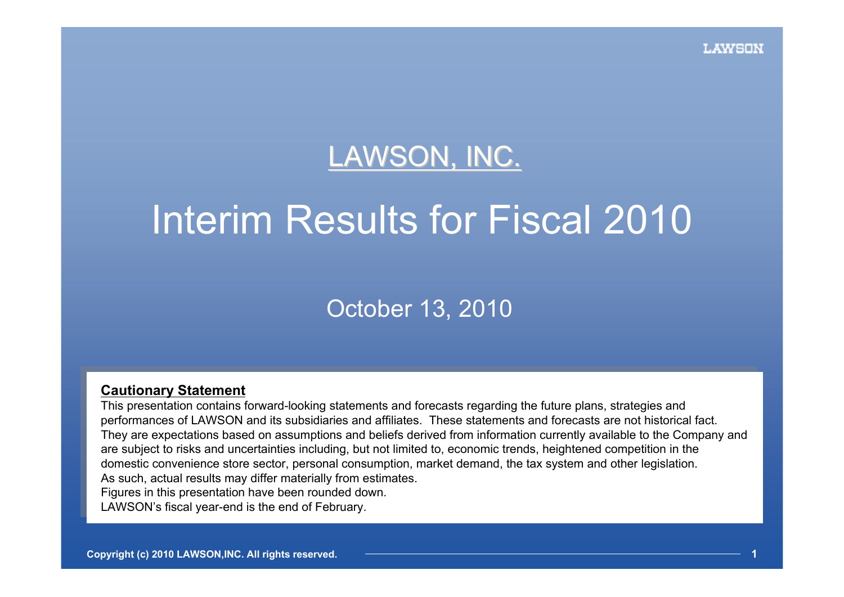# LAWSON, INC.

# Interim Results for Fiscal 2010

## October 13, 2010

#### **Cautionary Statement Caution ary Statement**

This presentation contains forward-looking statements and forecasts regarding the future plans, strategies and This presentation contains forward-looking statements and forecasts regarding the future plans, strategies and performances of LAWSON and its subsidiaries and affiliates. These statements and forecasts are not historical fact. They are expectations based on assumptions and beliefs derived from information currently available to the Company and are subject to risks and uncertainties including, but not limited to, economic trends, heightened competition in the domestic convenience store sector, personal consumption, market demand, the tax system and other legislation. As such, a ctual r esults may differ materially from estim ates. As such, a ctual r esults may differ materially from estim ates. Figures i n this presentation have been rounded dow n. Figures i n this presentation have been rounded dow n.

LAWSON's fiscal year-end is the end of February. LAWSON's fiscal year-end is the end of February.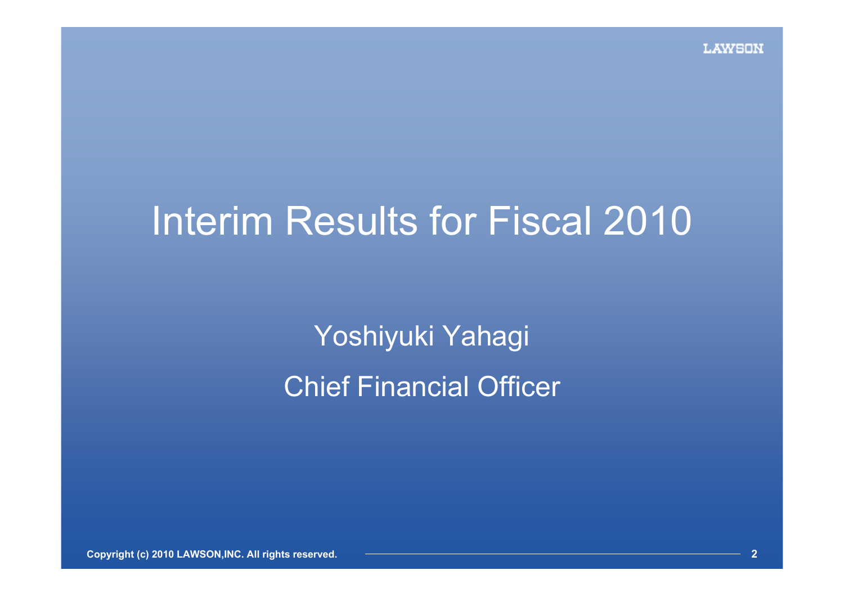# Interim Results for Fiscal 2010

Yoshiyuki Yahagi Chief Financial Officer

**Copyright (c) 2010 LAWSON,INC. All rights reserved.**

**2**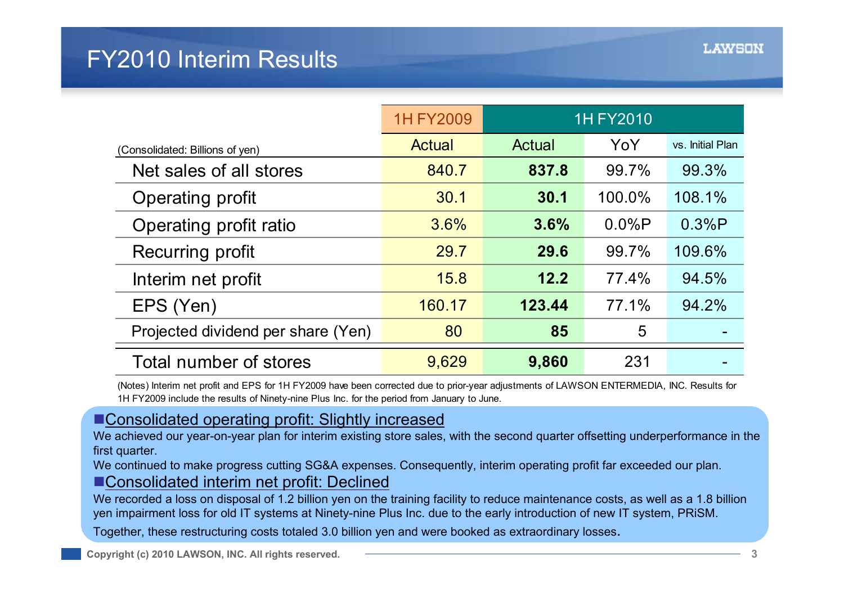|                                    | <b>1H FY2009</b> |        | <b>1H FY2010</b> |                  |
|------------------------------------|------------------|--------|------------------|------------------|
| (Consolidated: Billions of yen)    | Actual           | Actual | YoY              | vs. Initial Plan |
| Net sales of all stores            | 840.7            | 837.8  | 99.7%            | 99.3%            |
| Operating profit                   | 30.1             | 30.1   | 100.0%           | 108.1%           |
| Operating profit ratio             | 3.6%             | 3.6%   | $0.0\%P$         | 0.3%P            |
| Recurring profit                   | 29.7             | 29.6   | 99.7%            | 109.6%           |
| Interim net profit                 | 15.8             | 12.2   | 77.4%            | 94.5%            |
| EPS (Yen)                          | 160.17           | 123.44 | 77.1%            | 94.2%            |
| Projected dividend per share (Yen) | 80               | 85     | 5                |                  |
| Total number of stores             | 9,629            | 9,860  | 231              |                  |

(Notes) Interim net profit and EPS for 1H FY2009 have been corrected due to prior-year adjustments of LAWSON ENTERMEDIA, INC. Results for 1H FY2009 include the results of Ninety-nine Plus Inc. for the period from January to June.

#### **Consolidated operating profit: Slightly increased**

We achieved our year-on-year plan for interim existing store sales, with the second quarter offsetting underperformance in the first quarter.

We continued to make progress cutting SG&A expenses. Consequently, interim operating profit far exceeded our plan.

#### ■ Consolidated interim net profit: Declined

We recorded a loss on disposal of 1.2 billion yen on the training facility to reduce maintenance costs, as well as a 1.8 billio nyen impairment loss for old IT systems at Ninety-nine Plus Inc. due to the early introduction of new IT system, PRiSM.

Together, these restructuring costs totaled 3.0 billion yen and were booked as extraordinary losses.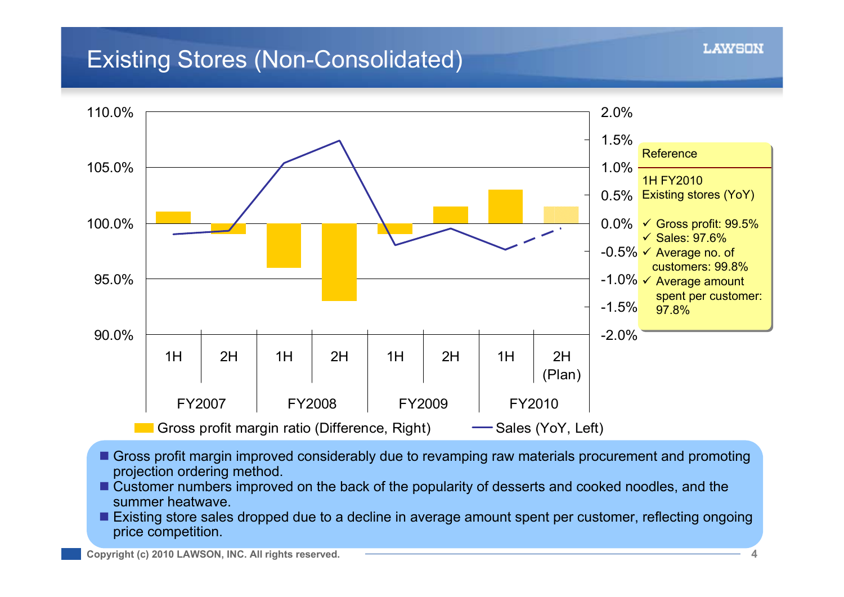# Existing Stores (Non-Consolidated)



- Gross profit margin improved considerably due to revamping raw materials procurement and promoting projection ordering method.
- Customer numbers improved on the back of the popularity of desserts and cooked noodles, and the summer heatwave.
- **Existing store sales dropped due to a decline in average amount spent per customer, reflecting ongoing** price competition.

I.AWSON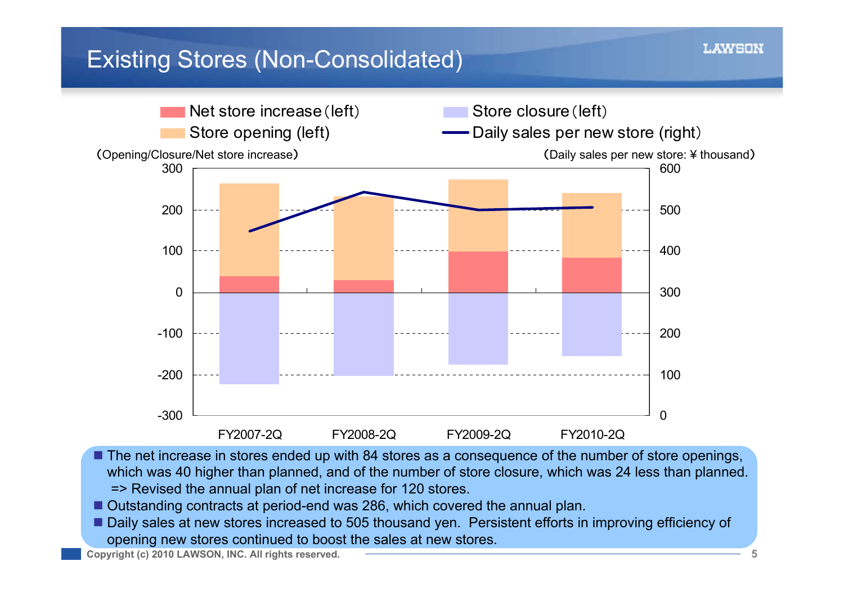# Existing Stores (Non-Consolidated)



- The net increase in stores ended up with 84 stores as a consequence of the number of store openings, which was 40 higher than planned, and of the number of store closure, which was 24 less than planned. => Revised the annual plan of net increase for 120 stores.
- П Outstanding contracts at period-end was 286, which covered the annual plan.
- Daily sales at new stores increased to 505 thousand yen. Persistent efforts in improving efficiency of opening new stores continued to boost the sales at new stores.

**Copyright (c) 2010 LAWSON, INC. All rights reserved.**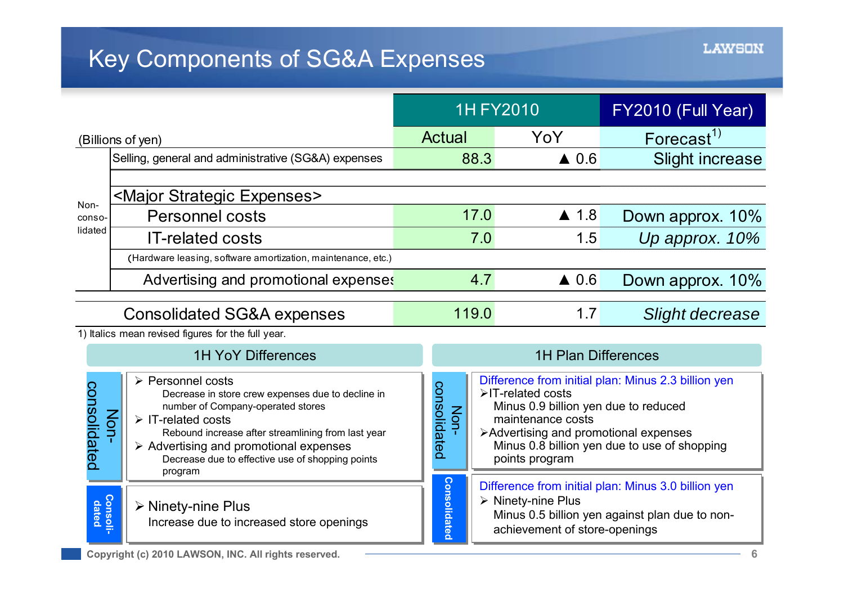# **Key Components of SG&A Expenses**

|                                       |                                                                                                                                                                                                                                                                                                                                                      |                                                                                                                                                                                     | <b>1H FY2010</b>                                                                                                                          | FY2010 (Full Year)                                                                                  |
|---------------------------------------|------------------------------------------------------------------------------------------------------------------------------------------------------------------------------------------------------------------------------------------------------------------------------------------------------------------------------------------------------|-------------------------------------------------------------------------------------------------------------------------------------------------------------------------------------|-------------------------------------------------------------------------------------------------------------------------------------------|-----------------------------------------------------------------------------------------------------|
|                                       | (Billions of yen)                                                                                                                                                                                                                                                                                                                                    |                                                                                                                                                                                     | YoY                                                                                                                                       | Forecast <sup>1)</sup>                                                                              |
|                                       | Selling, general and administrative (SG&A) expenses                                                                                                                                                                                                                                                                                                  | 88.3                                                                                                                                                                                | $\triangle$ 0.6                                                                                                                           | <b>Slight increase</b>                                                                              |
| Non-                                  | <major expenses="" strategic=""></major>                                                                                                                                                                                                                                                                                                             |                                                                                                                                                                                     |                                                                                                                                           |                                                                                                     |
| conso-                                | <b>Personnel costs</b>                                                                                                                                                                                                                                                                                                                               | 17.0                                                                                                                                                                                | $\triangle$ 1.8                                                                                                                           | Down approx. 10%                                                                                    |
| lidated                               | <b>IT-related costs</b>                                                                                                                                                                                                                                                                                                                              | 7.0                                                                                                                                                                                 | 1.5                                                                                                                                       | Up approx. 10%                                                                                      |
|                                       | (Hardware leasing, software amortization, maintenance, etc.)                                                                                                                                                                                                                                                                                         |                                                                                                                                                                                     |                                                                                                                                           |                                                                                                     |
|                                       | Advertising and promotional expenses                                                                                                                                                                                                                                                                                                                 | 4.7                                                                                                                                                                                 | $\triangle$ 0.6                                                                                                                           | Down approx. 10%                                                                                    |
| <b>Consolidated SG&amp;A expenses</b> |                                                                                                                                                                                                                                                                                                                                                      | 119.0                                                                                                                                                                               | 1.7                                                                                                                                       | Slight decrease                                                                                     |
|                                       | 1) Italics mean revised figures for the full year.                                                                                                                                                                                                                                                                                                   |                                                                                                                                                                                     |                                                                                                                                           |                                                                                                     |
|                                       | <b>1H YoY Differences</b>                                                                                                                                                                                                                                                                                                                            | <b>1H Plan Differences</b>                                                                                                                                                          |                                                                                                                                           |                                                                                                     |
| consolidated                          | $\triangleright$ Personnel costs<br>Decrease in store crew expenses due to decline in<br>number of Company-operated stores<br>Non<br>$\triangleright$ IT-related costs<br>Rebound increase after streamlining from last year<br>$\triangleright$ Advertising and promotional expenses<br>Decrease due to effective use of shopping points<br>program | consolidated<br>Non-                                                                                                                                                                | >IT-related costs<br>Minus 0.9 billion yen due to reduced<br>maintenance costs<br>>Advertising and promotional expenses<br>points program | Difference from initial plan: Minus 2.3 billion yen<br>Minus 0.8 billion yen due to use of shopping |
| Consoli<br>dated                      | $\triangleright$ Ninety-nine Plus<br>Increase due to increased store openings                                                                                                                                                                                                                                                                        | <b>Consolidated</b><br>Difference from initial plan: Minus 3.0 billion yen<br>> Ninety-nine Plus<br>Minus 0.5 billion yen against plan due to non-<br>achievement of store-openings |                                                                                                                                           |                                                                                                     |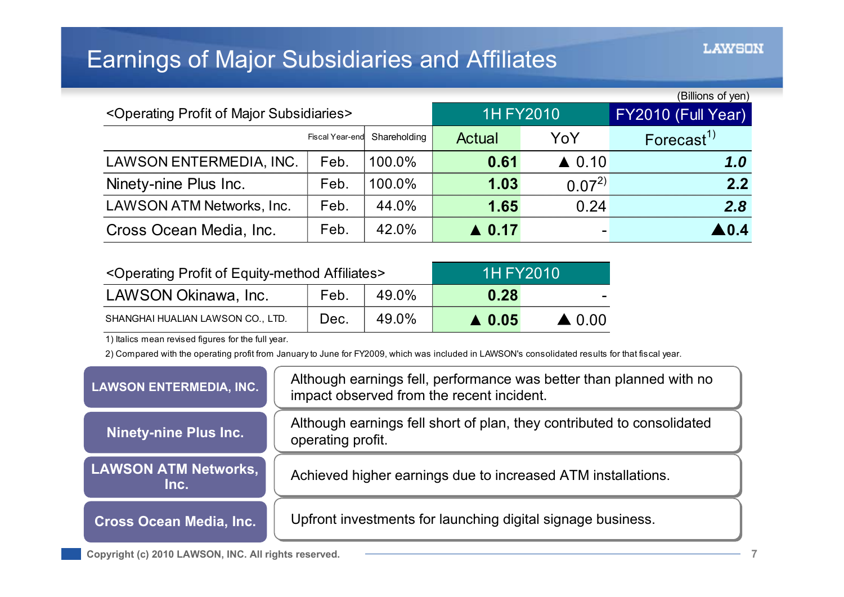# Earnings of Major Subsidiaries and Affiliates

|                                                                  |                 |                  |                    | (Billions of yen) |                        |
|------------------------------------------------------------------|-----------------|------------------|--------------------|-------------------|------------------------|
| <operating major="" of="" profit="" subsidiaries=""></operating> |                 | <b>1H FY2010</b> | FY2010 (Full Year) |                   |                        |
|                                                                  | Fiscal Year-end | Shareholding     | Actual             | YoY               | Forecast <sup>1)</sup> |
| LAWSON ENTERMEDIA, INC.                                          | Feb.            | 100.0%           | 0.61               | $\triangle$ 0.10  | 1.0                    |
| Ninety-nine Plus Inc.                                            | Feb.            | 100.0%           | 1.03               | $0.07^{2}$        | 2.2                    |
| <b>LAWSON ATM Networks, Inc.</b>                                 | Feb.            | 44.0%            | 1.65               | 0.24              | 2.8                    |
| Cross Ocean Media, Inc.                                          | Feb.            | 42.0%            | $\triangle$ 0.17   |                   | $\blacksquare$ 0.4     |

| <operating affiliates="" equity-method="" of="" profit=""></operating> | <b>1H FY2010</b> |       |                  |                  |
|------------------------------------------------------------------------|------------------|-------|------------------|------------------|
| LAWSON Okinawa, Inc.                                                   | Feb.             | 49.0% | 0.28             | $\sim$           |
| SHANGHAI HUALIAN LAWSON CO., LTD.                                      | Dec.             | 49.0% | $\triangle$ 0.05 | $\triangle$ 0.00 |

1) Italics mean revised figures for the full year.

2) Compared with the operating profit from January to June for FY2009, which was included in LAWSON's consolidated results for that fiscal year.

| <b>LAWSON ENTERMEDIA, INC.</b>      | Although earnings fell, performance was better than planned with no<br>impact observed from the recent incident. |
|-------------------------------------|------------------------------------------------------------------------------------------------------------------|
| Ninety-nine Plus Inc.               | Although earnings fell short of plan, they contributed to consolidated<br>operating profit.                      |
| <b>LAWSON ATM Networks,</b><br>Inc. | Achieved higher earnings due to increased ATM installations.                                                     |
| <b>Cross Ocean Media, Inc.</b>      | Upfront investments for launching digital signage business.                                                      |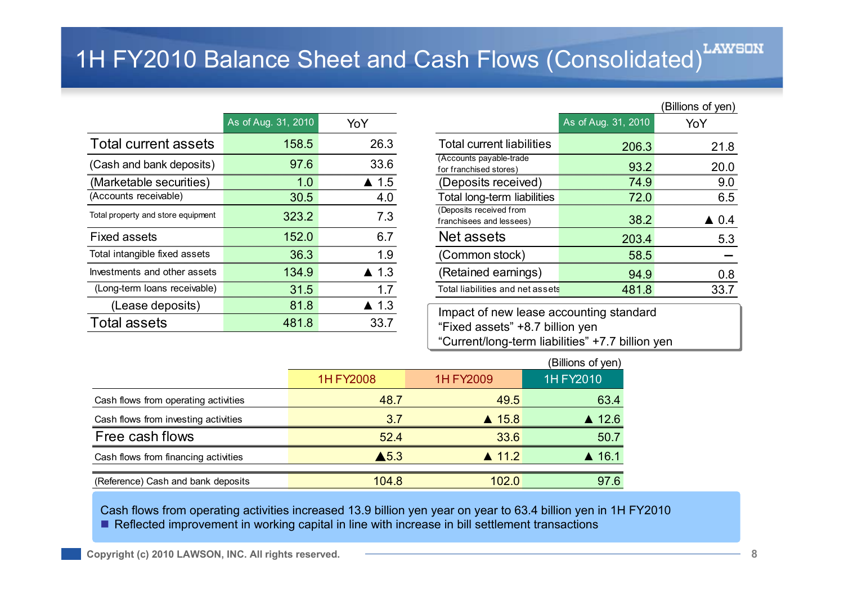# 1H FY2010 Balance Sheet and Cash Flows (Consolidated)<sup>LAWSON</sup>

|                                    | As of Aug. 31, 2010 | YoY             |                                                                            | As of Aug. 31, 2010 | YoY             |
|------------------------------------|---------------------|-----------------|----------------------------------------------------------------------------|---------------------|-----------------|
| Total current assets               | 158.5               | 26.3            | <b>Total current liabilities</b>                                           | 206.3               | 21.8            |
| (Cash and bank deposits)           | 97.6                | 33.6            | (Accounts payable-trade)<br>for franchised stores)                         | 93.2                | 20.0            |
| (Marketable securities)            | 1.0                 | $\triangle$ 1.5 | (Deposits received)                                                        | 74.9                | 9.0             |
| (Accounts receivable)              | 30.5                | 4.0             | Total long-term liabilities                                                | 72.0                | 6.5             |
| Total property and store equipment | 323.2               | 7.3             | (Deposits received from<br>franchisees and lessees)                        | 38.2                | $\triangle$ 0.4 |
| <b>Fixed assets</b>                | 152.0               | 6.7             | Net assets                                                                 | 203.4               | 5.3             |
| Total intangible fixed assets      | 36.3                | 1.9             | (Common stock)                                                             | 58.5                |                 |
| Investments and other assets       | 134.9               | $\triangle$ 1.3 | (Retained earnings)                                                        | 94.9                | 0.8             |
| (Long-term loans receivable)       | 31.5                | 1.7             | Total liabilities and net assets                                           | 481.8               | 33.7            |
| (Lease deposits)                   | 81.8                | $\triangle$ 1.3 |                                                                            |                     |                 |
| <b>Total assets</b>                | 481.8               | 33.7            | Impact of new lease accounting standard<br>"Fixed assets" +8.7 billion yen |                     |                 |

|     |                     |                      |                                                     |                     | (Billions of yen) |
|-----|---------------------|----------------------|-----------------------------------------------------|---------------------|-------------------|
|     | As of Aug. 31, 2010 | YoY                  |                                                     | As of Aug. 31, 2010 | YoY               |
| S   | 158.5               | 26.3                 | <b>Total current liabilities</b>                    | 206.3               | 21.8              |
| 3)  | 97.6                | 33.6                 | (Accounts payable-trade<br>for franchised stores)   | 93.2                | 20.0              |
|     | 1.0                 | $\triangle$ 1.5      | (Deposits received)                                 | 74.9                | 9.0               |
|     | 30.5                | 4.0                  | Total long-term liabilities                         | 72.0                | 6.5               |
| nt: | 323.2               | 7.3                  | (Deposits received from<br>franchisees and lessees) | 38.2                | $\triangle$ 0.4   |
|     | 152.0               | 6.7                  | Net assets                                          | 203.4               | 5.3               |
|     | 36.3                | 1.9                  | (Common stock)                                      | 58.5                |                   |
| :ts | 134.9               | $\blacktriangle$ 1.3 | (Retained earnings)                                 | 94.9                | 0.8               |
| e)  | 31.5                | 1.7                  | Total liabilities and net assets                    | 481.8               | 33.7              |
|     |                     |                      |                                                     |                     |                   |

Impact of new lease accounting standard Impact of new lease accounting standard "Fixed assets" +8.7 billion yen "Fixed assets" +8.7 billion yen "Current/long-term liabilities" +7.7 billion yen "Current/long-term liabilities" +7.7 billion yen

|                                      |                         |                  | (Billions of yen) |
|--------------------------------------|-------------------------|------------------|-------------------|
|                                      | 1H FY2008               | 1H FY2009        | 1H FY2010         |
| Cash flows from operating activities | 48.7                    | 49.5             | 63.4              |
| Cash flows from investing activities | $\triangle$ 15.8<br>3.7 |                  | $\triangle$ 12.6  |
| Free cash flows                      | 52.4                    | 33.6             | 50.7              |
| Cash flows from financing activities | $\blacktriangle$ 5.3    | $\triangle$ 11.2 | $\triangle$ 16.1  |
| (Reference) Cash and bank deposits   | 104.8                   | 102.0            | 97.6              |

Cash flows from operating activities increased 13.9 billion yen year on year to 63.4 billion yen in 1H FY2010 ■ Reflected improvement in working capital in line with increase in bill settlement transactions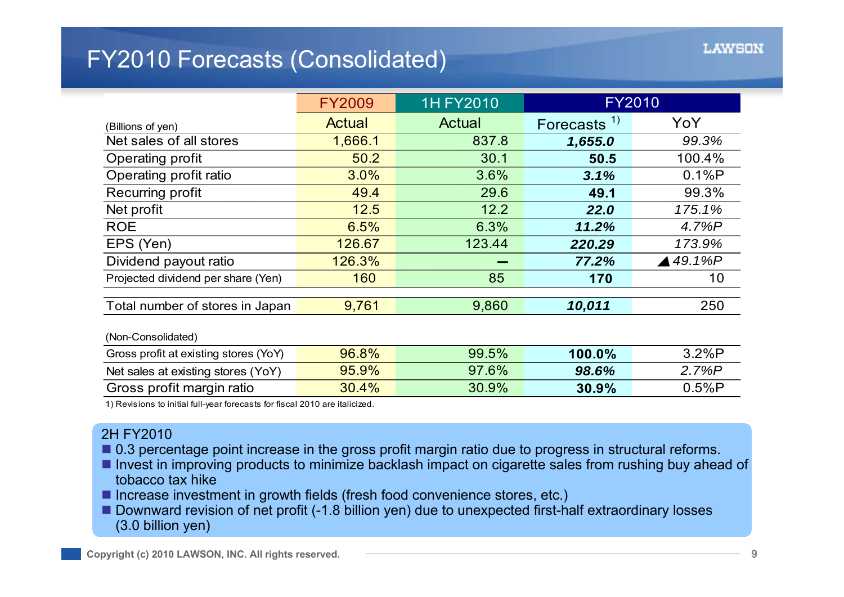# FY2010 Forecasts (Consolidated)

|                                       | <b>FY2009</b> | <b>1H FY2010</b> | <b>FY2010</b> |                    |
|---------------------------------------|---------------|------------------|---------------|--------------------|
| (Billions of yen)                     | Actual        | Actual           | Forecasts $1$ | YoY                |
| Net sales of all stores               | 1,666.1       | 837.8            | 1,655.0       | 99.3%              |
| Operating profit                      | 50.2          | 30.1             | 50.5          | 100.4%             |
| Operating profit ratio                | 3.0%          | 3.6%             | 3.1%          | 0.1%P              |
| Recurring profit                      | 49.4          | 29.6             | 49.1          | 99.3%              |
| Net profit                            | 12.5          | 12.2             | 22.0          | 175.1%             |
| <b>ROE</b>                            | 6.5%          | 6.3%             | 11.2%         | 4.7%P              |
| EPS (Yen)                             | 126.67        | 123.44           | 220.29        | 173.9%             |
| Dividend payout ratio                 | 126.3%        |                  | 77.2%         | $\triangle$ 49.1%P |
| Projected dividend per share (Yen)    | 160           | 85               | 170           | 10                 |
|                                       |               |                  |               |                    |
| Total number of stores in Japan       | 9,761         | 9,860            | 10,011        | 250                |
| (Non-Consolidated)                    |               |                  |               |                    |
| Gross profit at existing stores (YoY) | 96.8%         | 99.5%            | 100.0%        | 3.2%P              |
| Net sales at existing stores (YoY)    | 95.9%         | 97.6%            | 98.6%         | 2.7%P              |
| Gross profit margin ratio             | 30.4%         | 30.9%            | 30.9%         | 0.5%P              |

1) Revisions to initial full-year forecasts for fiscal 2010 are italicized.

#### 2H FY2010

- 0.3 percentage point increase in the gross profit margin ratio due to progress in structural reforms.
- Invest in improving products to minimize backlash impact on cigarette sales from rushing buy ahead of tobacco tax hike
- Increase investment in growth fields (fresh food convenience stores, etc.)
- Downward revision of net profit (-1.8 billion yen) due to unexpected first-half extraordinary losses (3.0 billion yen)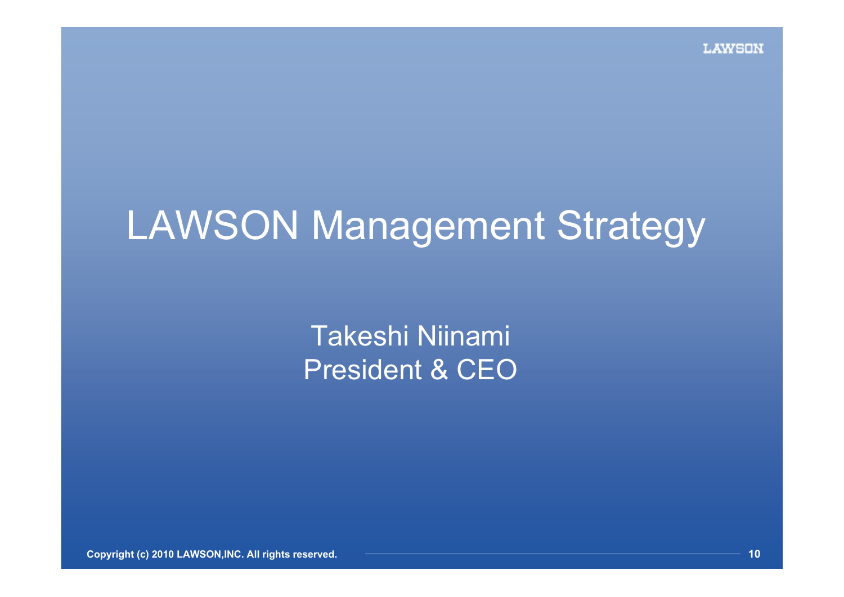# LAWSON Management Strategy

Takeshi Niinami President & CEO

**Copyright (c) 2010 LAWSON,INC. All rights reserved. 10**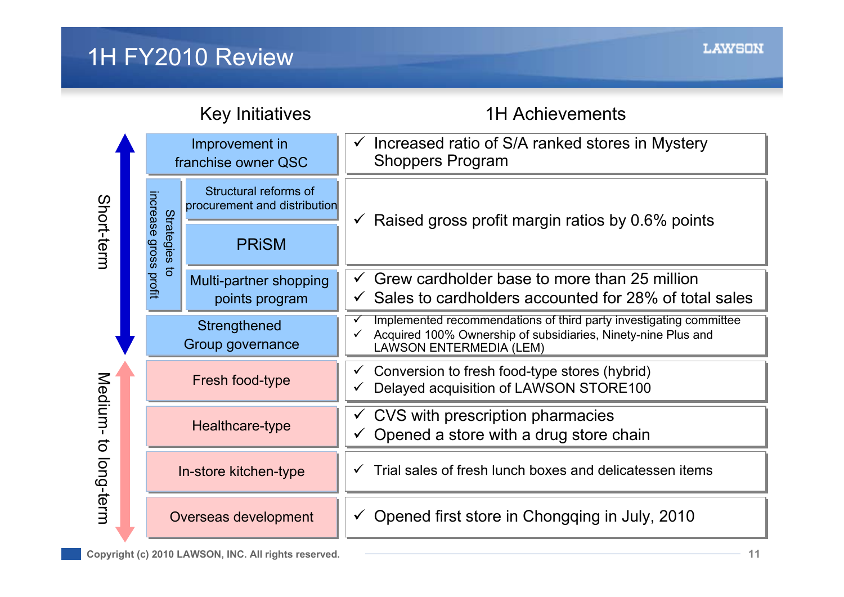# 1H FY2010 Review

|                      |                                | <b>Key Initiatives</b>                                | <b>1H Achievements</b>                                                                                                                                                |
|----------------------|--------------------------------|-------------------------------------------------------|-----------------------------------------------------------------------------------------------------------------------------------------------------------------------|
|                      |                                | Improvement in<br>franchise owner QSC                 | Increased ratio of S/A ranked stores in Mystery<br><b>Shoppers Program</b>                                                                                            |
| Short-term           | increase                       | Structural reforms of<br>procurement and distribution | Raised gross profit margin ratios by 0.6% points<br>$\checkmark$                                                                                                      |
|                      | <b>Strategies</b>              | <b>PRISM</b>                                          |                                                                                                                                                                       |
|                      | gross profit<br>$\overline{5}$ | Multi-partner shopping<br>points program              | Grew cardholder base to more than 25 million<br>Sales to cardholders accounted for 28% of total sales                                                                 |
|                      |                                | Strengthened<br>Group governance                      | Implemented recommendations of third party investigating committee<br>Acquired 100% Ownership of subsidiaries, Ninety-nine Plus and<br><b>LAWSON ENTERMEDIA (LEM)</b> |
|                      |                                | Fresh food-type                                       | Conversion to fresh food-type stores (hybrid)<br>v.<br>Delayed acquisition of LAWSON STORE100                                                                         |
| Medium-<br>$\vec{o}$ |                                | Healthcare-type                                       | CVS with prescription pharmacies<br>Opened a store with a drug store chain                                                                                            |
| long-term            |                                | In-store kitchen-type                                 | Trial sales of fresh lunch boxes and delicatessen items                                                                                                               |
|                      |                                | Overseas development                                  | Opened first store in Chongqing in July, 2010                                                                                                                         |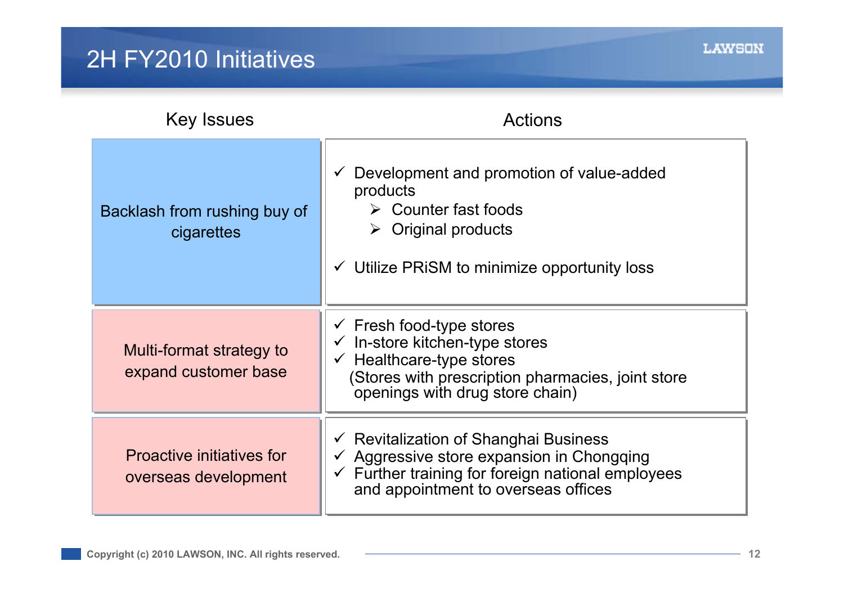# 2H FY2010 Initiatives

| <b>Key Issues</b>                                        | Actions                                                                                                                                                                                                            |
|----------------------------------------------------------|--------------------------------------------------------------------------------------------------------------------------------------------------------------------------------------------------------------------|
| Backlash from rushing buy of<br>cigarettes               | Development and promotion of value-added<br>$\checkmark$<br>products<br>$\triangleright$ Counter fast foods<br><b>Original products</b><br>➤<br>$\checkmark$ Utilize PRISM to minimize opportunity loss            |
| Multi-format strategy to<br>expand customer base         | $\checkmark$ Fresh food-type stores<br>In-store kitchen-type stores<br>$\checkmark$<br>Healthcare-type stores<br>(Stores with prescription pharmacies, joint store<br>openings with drug store chain)              |
| <b>Proactive initiatives for</b><br>overseas development | $\checkmark$ Revitalization of Shanghai Business<br>$\checkmark$ Aggressive store expansion in Chongqing<br>Further training for foreign national employees<br>$\checkmark$<br>and appointment to overseas offices |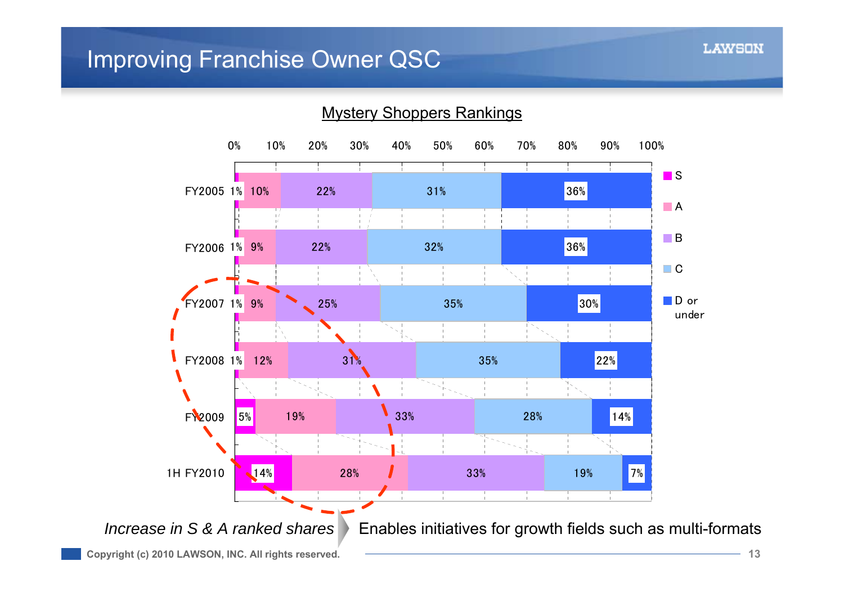### Improving Franchise Owner QSC

![](_page_12_Figure_2.jpeg)

Mystery Shoppers Rankings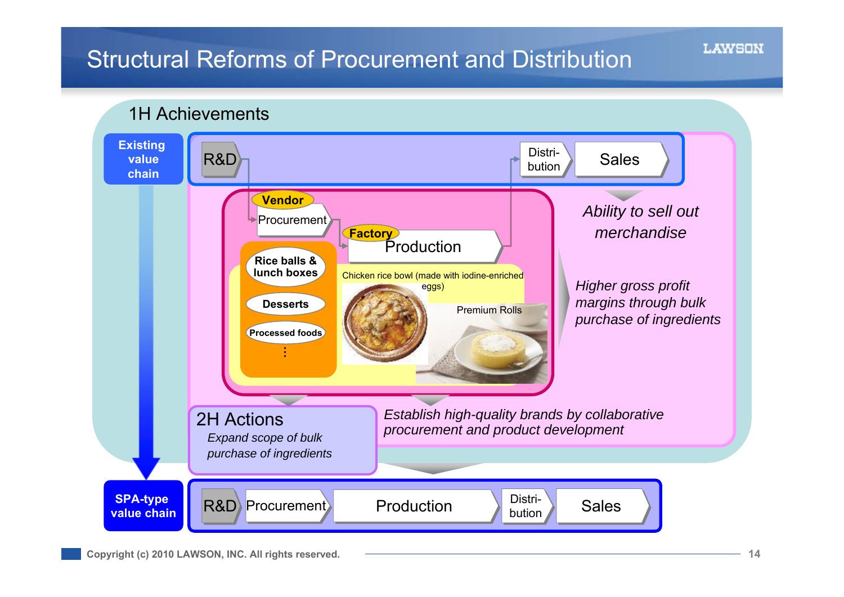# Structural Reforms of Procurement and Distribution

![](_page_13_Figure_2.jpeg)

![](_page_13_Figure_3.jpeg)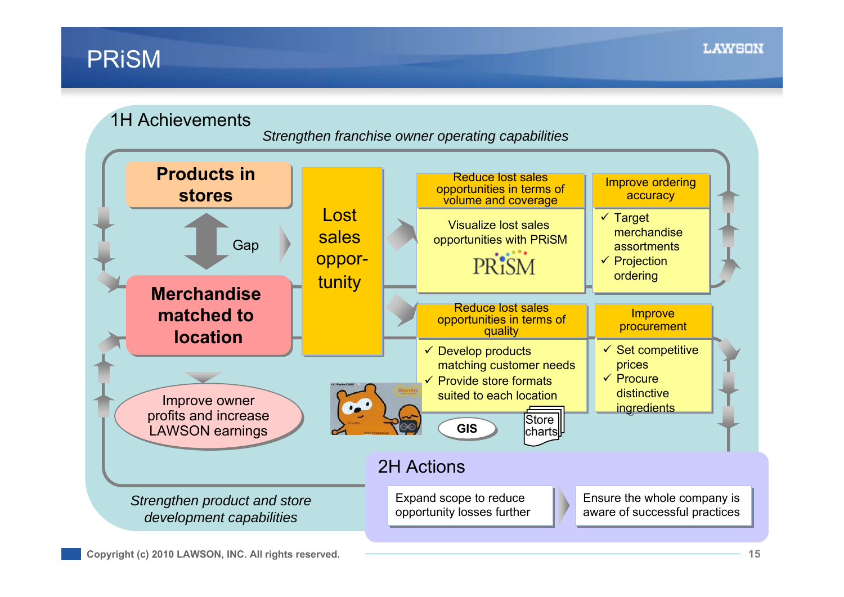## PRiSM

![](_page_14_Figure_2.jpeg)

*Strengthen franchise owner operating capabilities*

![](_page_14_Figure_4.jpeg)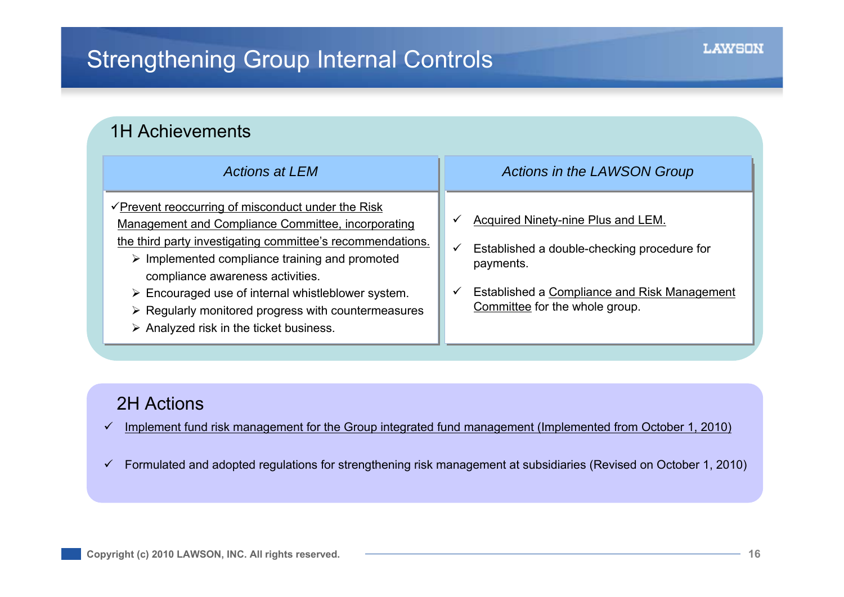| <b>1H Achievements</b>                                                                                                                                                                                                                                                                                                                                                                                                                                                                              |                                                                                                                                                                                                        |  |  |  |  |  |
|-----------------------------------------------------------------------------------------------------------------------------------------------------------------------------------------------------------------------------------------------------------------------------------------------------------------------------------------------------------------------------------------------------------------------------------------------------------------------------------------------------|--------------------------------------------------------------------------------------------------------------------------------------------------------------------------------------------------------|--|--|--|--|--|
| <b>Actions at LEM</b>                                                                                                                                                                                                                                                                                                                                                                                                                                                                               | <b>Actions in the LAWSON Group</b>                                                                                                                                                                     |  |  |  |  |  |
| $\sqrt{\frac{P}{P}}$ Prevent reoccurring of misconduct under the Risk<br>Management and Compliance Committee, incorporating<br>the third party investigating committee's recommendations.<br>$\triangleright$ Implemented compliance training and promoted<br>compliance awareness activities.<br>$\triangleright$ Encouraged use of internal whistleblower system.<br>$\triangleright$ Regularly monitored progress with countermeasures<br>$\triangleright$ Analyzed risk in the ticket business. | <b>Acquired Ninety-nine Plus and LEM.</b><br>✓<br>Established a double-checking procedure for<br>✓<br>payments.<br>Established a Compliance and Risk Management<br>✓<br>Committee for the whole group. |  |  |  |  |  |

#### 2H Actions

- $\checkmark$ Implement fund risk management for the Group integrated fund management (Implemented from October 1, 2010)
- $\checkmark$ Formulated and adopted regulations for strengthening risk management at subsidiaries (Revised on October 1, 2010)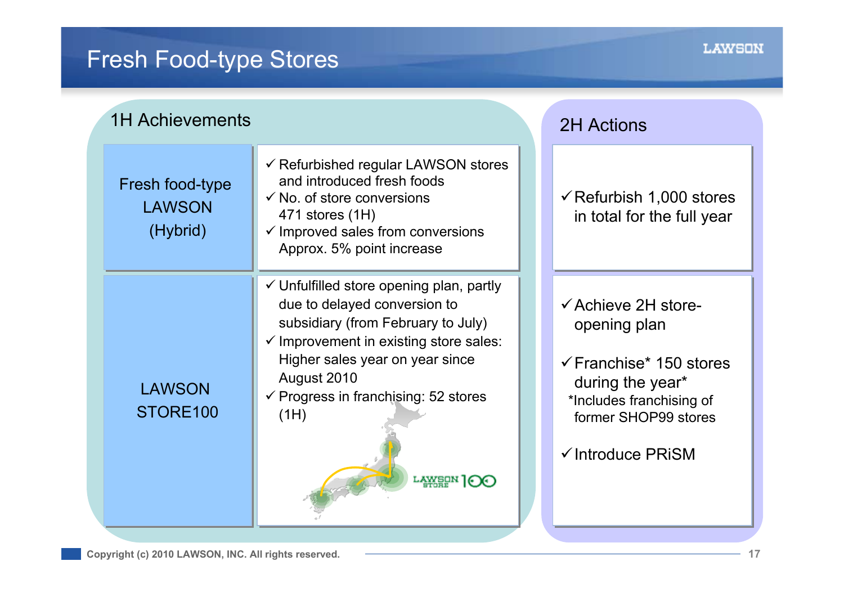# Fresh Food-type Stores

| <b>1H Achievements</b>                       |                                                                                                                                                                                                                                                                                                           |  | <b>2H Actions</b>                                                                                                                                                                            |  |  |
|----------------------------------------------|-----------------------------------------------------------------------------------------------------------------------------------------------------------------------------------------------------------------------------------------------------------------------------------------------------------|--|----------------------------------------------------------------------------------------------------------------------------------------------------------------------------------------------|--|--|
| Fresh food-type<br><b>LAWSON</b><br>(Hybrid) | $\checkmark$ Refurbished regular LAWSON stores<br>and introduced fresh foods<br>$\checkmark$ No. of store conversions<br>471 stores (1H)<br>$\checkmark$ Improved sales from conversions<br>Approx. 5% point increase                                                                                     |  | $\checkmark$ Refurbish 1,000 stores<br>in total for the full year                                                                                                                            |  |  |
| <b>LAWSON</b><br>STORE100                    | $\checkmark$ Unfulfilled store opening plan, partly<br>due to delayed conversion to<br>subsidiary (from February to July)<br>$\checkmark$ Improvement in existing store sales:<br>Higher sales year on year since<br>August 2010<br>$\checkmark$ Progress in franchising: 52 stores<br>(1H)<br>LAWEUN 1⊙C |  | $\checkmark$ Achieve 2H store-<br>opening plan<br>$\checkmark$ Franchise* 150 stores<br>during the year*<br>*Includes franchising of<br>former SHOP99 stores<br>$\checkmark$ Introduce PRISM |  |  |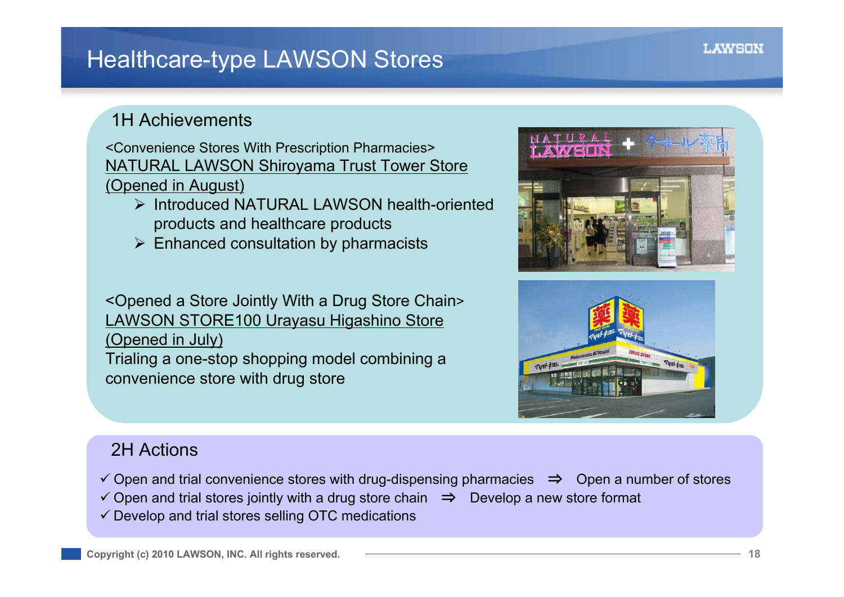# Healthcare-type LAWSON Stores

### 1H Achievements

<Convenience Stores With Prescription Pharmacies> NATURAL LAWSON Shiroyama Trust Tower Store (Opened in August)

- Introduced NATURAL LAWSON health-oriented products and healthcare products
- $\triangleright$  Enhanced consultation by pharmacists

<Opened a Store Jointly With a Drug Store Chain > LAWSON STORE100 Urayasu Higashino Store (Opened in July) Trialing a one-stop shopping model combining a convenience store with drug store

![](_page_17_Picture_7.jpeg)

![](_page_17_Picture_8.jpeg)

### 2H Actions

- Open and trial convenience stores with drug-dispensing pharmacies ⇒ Open a number of stores
- Open and trial stores jointly with a drug store chain ⇒ Develop a new store format
- $\checkmark$  Develop and trial stores selling OTC medications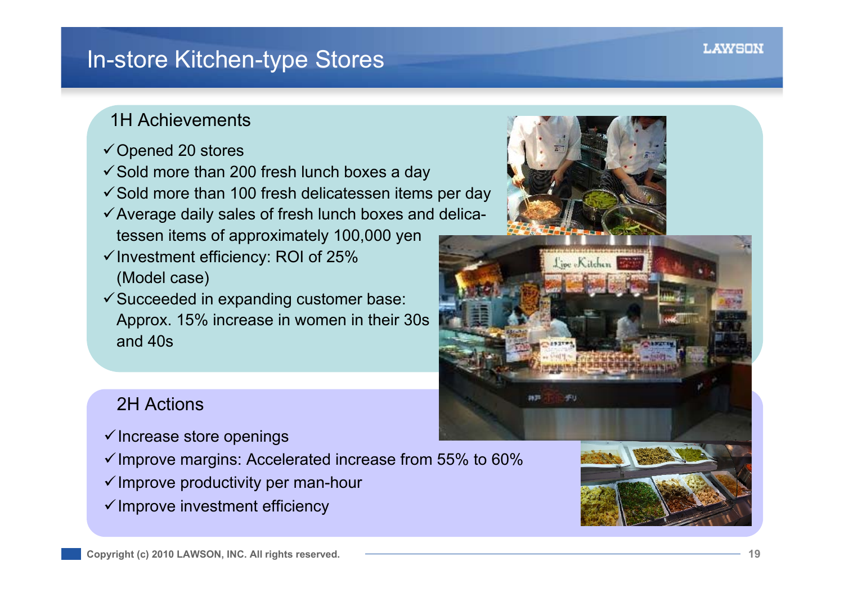## In-store Kitchen-type Stores

### 1H Achievements

- $\checkmark$  Opened 20 stores
- $\checkmark$  Sold more than 200 fresh lunch boxes a day
- $\checkmark$  Sold more than 100 fresh delicatessen items per day
- $\checkmark$  Average daily sales of fresh lunch boxes and delicatessen items of approximately 100,000 yen
- $\checkmark$  Investment efficiency: ROI of 25% (Model case)
- $\checkmark$  Succeeded in expanding customer base: Approx. 15% increase in women in their 30s and 40s

![](_page_18_Picture_9.jpeg)

![](_page_18_Picture_10.jpeg)

### 2H Actions

- $\checkmark$  Increase store openings
- $\checkmark$  Improve margins: Accelerated increase from 55% to 60%
- $\checkmark$  Improve productivity per man-hour
- $\checkmark$  Improve investment efficiency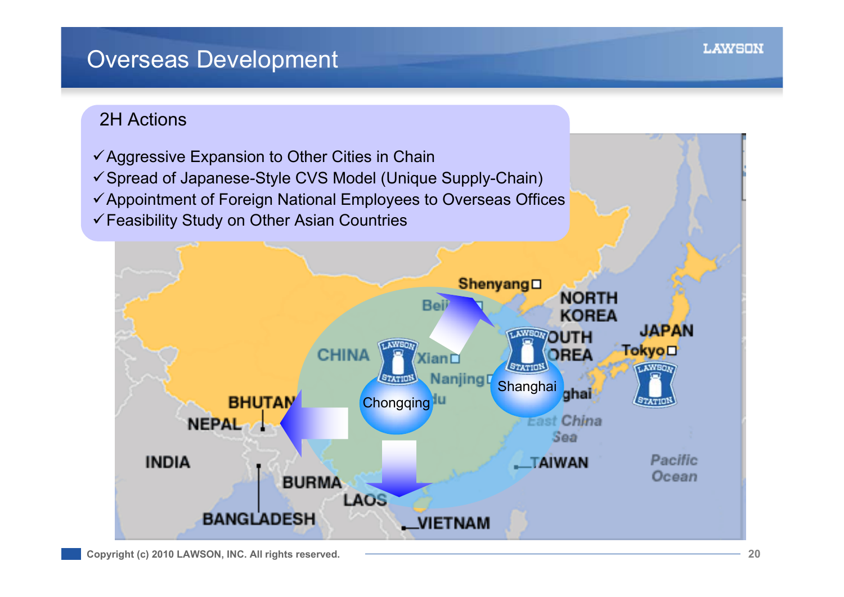## Overseas Development

### 2H Actions

![](_page_19_Figure_2.jpeg)

**LAWSON**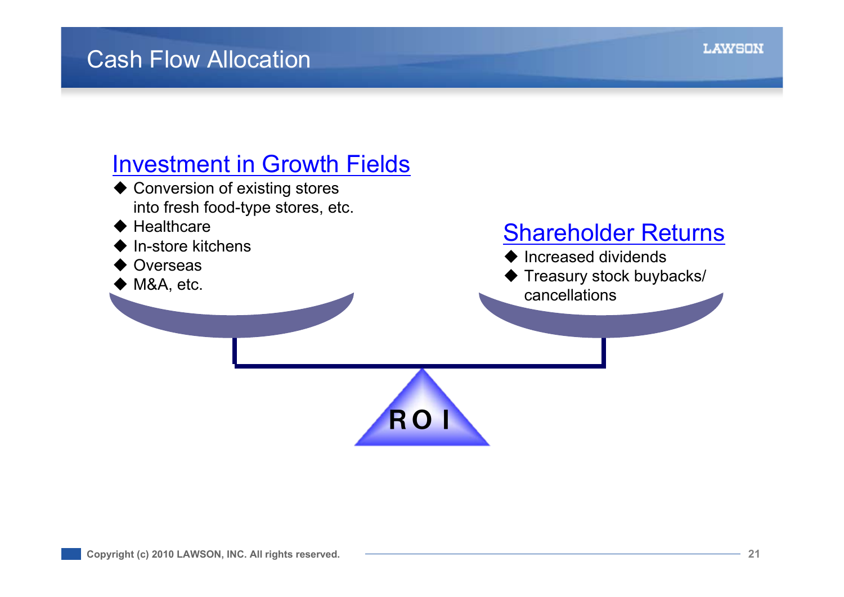# Investment in Growth Fields

- ◆ Conversion of existing stores into fresh food-type stores, etc.
- $\blacklozenge$  Healthcare
- ♦ In-store kitchens
- ♦ **Overseas**
- ◆ M&A, etc.

# Shareholder Returns

- $\blacklozenge$  Increased dividends
- ♦ Treasury stock buybacks/
- cancellations

![](_page_20_Picture_11.jpeg)

**LAWSON**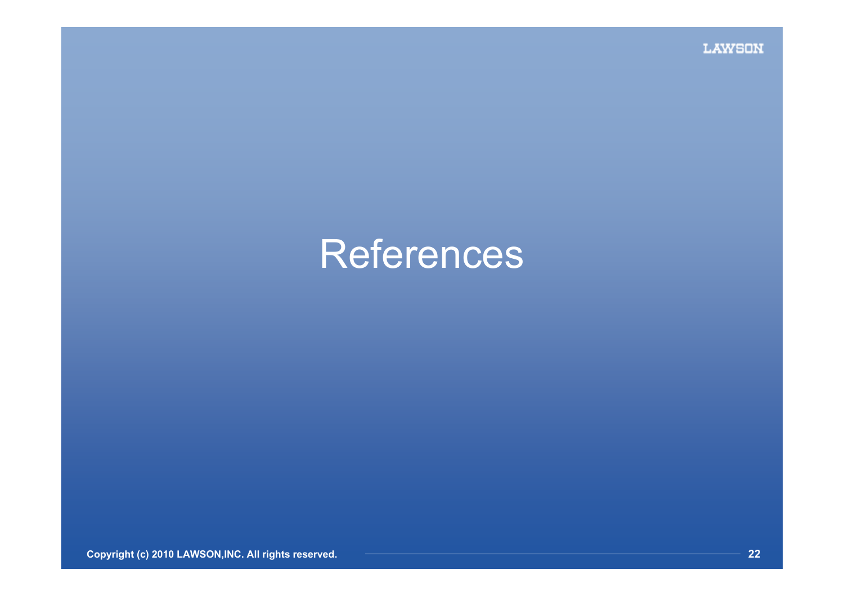# **References**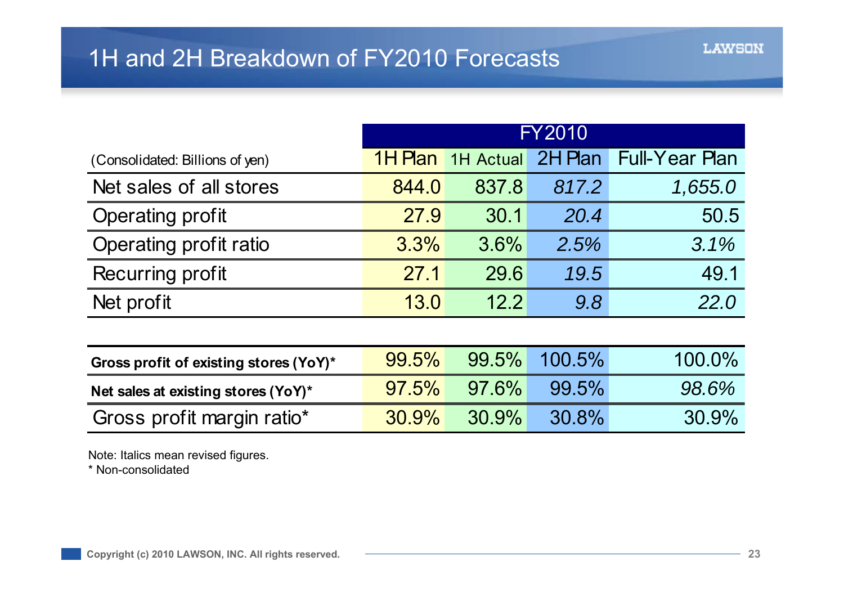|                                        | <b>FY2010</b>  |                  |         |                       |
|----------------------------------------|----------------|------------------|---------|-----------------------|
| (Consolidated: Billions of yen)        | <b>1H Plan</b> | <b>1H Actual</b> | 2H Plan | <b>Full-Year Plan</b> |
| Net sales of all stores                | 844.0          | 837.8            | 817.2   | 1,655.0               |
| <b>Operating profit</b>                | 27.9           | 30.1             | 20.4    | 50.5                  |
| Operating profit ratio                 | 3.3%           | 3.6%             | 2.5%    | 3.1%                  |
| Recurring profit                       | 27.1           | 29.6             | 19.5    | 49.1                  |
| Net profit                             | 13.0           | 12.2             | 9.8     | 22.0                  |
|                                        |                |                  |         |                       |
| Gross profit of existing stores (YoY)* | 99.5%          | 99.5%            | 100.5%  | 100.0%                |
| Net sales at existing stores (YoY)*    | 97.5%          | 97.6%            | 99.5%   | 98.6%                 |
| Gross profit margin ratio*             | 30.9%          | 30.9%            | 30.8%   | 30.9%                 |

Note: Italics mean revised figures.

\* Non-consolidated

**LAWSON**